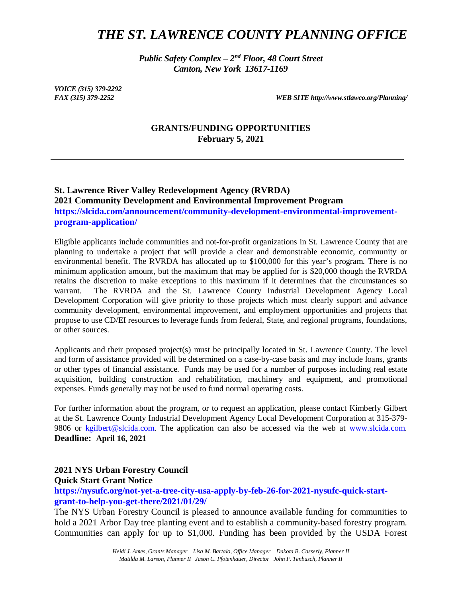# *THE ST. LAWRENCE COUNTY PLANNING OFFICE*

*Public Safety Complex – 2nd Floor, 48 Court Street Canton, New York 13617-1169*

*VOICE (315) 379-2292*

*FAX (315) 379-2252 WEB SITE http://www.stlawco.org/Planning/*

#### **GRANTS/FUNDING OPPORTUNITIES February 5, 2021**

## **St. Lawrence River Valley Redevelopment Agency (RVRDA) 2021 Community Development and Environmental Improvement Program https://slcida.com/announcement/community-development-environmental-improvementprogram-application/**

Eligible applicants include communities and not-for-profit organizations in St. Lawrence County that are planning to undertake a project that will provide a clear and demonstrable economic, community or environmental benefit. The RVRDA has allocated up to \$100,000 for this year's program. There is no minimum application amount, but the maximum that may be applied for is \$20,000 though the RVRDA retains the discretion to make exceptions to this maximum if it determines that the circumstances so warrant. The RVRDA and the St. Lawrence County Industrial Development Agency Local Development Corporation will give priority to those projects which most clearly support and advance community development, environmental improvement, and employment opportunities and projects that propose to use CD/EI resources to leverage funds from federal, State, and regional programs, foundations, or other sources.

Applicants and their proposed project(s) must be principally located in St. Lawrence County. The level and form of assistance provided will be determined on a case-by-case basis and may include loans, grants or other types of financial assistance. Funds may be used for a number of purposes including real estate acquisition, building construction and rehabilitation, machinery and equipment, and promotional expenses. Funds generally may not be used to fund normal operating costs.

For further information about the program, or to request an application, please contact Kimberly Gilbert at the St. Lawrence County Industrial Development Agency Local Development Corporation at 315-379- 9806 or kgilbert@slcida.com. The application can also be accessed via the web at www.slcida.com. **Deadline: April 16, 2021**

# **2021 NYS Urban Forestry Council**

#### **Quick Start Grant Notice**

**https://nysufc.org/not-yet-a-tree-city-usa-apply-by-feb-26-for-2021-nysufc-quick-startgrant-to-help-you-get-there/2021/01/29/**

The NYS Urban Forestry Council is pleased to announce available funding for communities to hold a 2021 Arbor Day tree planting event and to establish a community-based forestry program. Communities can apply for up to \$1,000. Funding has been provided by the USDA Forest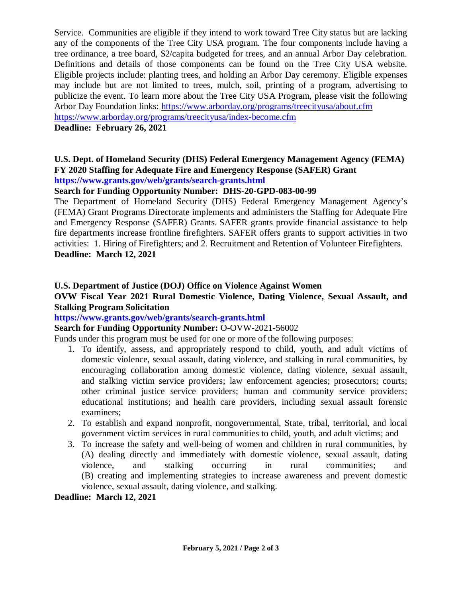Service. Communities are eligible if they intend to work toward Tree City status but are lacking any of the components of the Tree City USA program. The four components include having a tree ordinance, a tree board, \$2/capita budgeted for trees, and an annual Arbor Day celebration. Definitions and details of those components can be found on the Tree City USA website. Eligible projects include: planting trees, and holding an Arbor Day ceremony. Eligible expenses may include but are not limited to trees, mulch, soil, printing of a program, advertising to publicize the event. To learn more about the Tree City USA Program, please visit the following Arbor Day Foundation links: [https://www.arborday.org/programs/treecityusa/about.cfm](https://protect-us.mimecast.com/s/SBVPCZ6DrMuEQ5oHzj_4E?domain=arborday.org) [https://www.arborday.org/programs/treecityusa/index-become.cfm](https://protect-us.mimecast.com/s/mB0iC1wz3Zh1qMEiGzdwh?domain=arborday.org)

### **Deadline: February 26, 2021**

#### **U.S. Dept. of Homeland Security (DHS) Federal Emergency Management Agency (FEMA) FY 2020 Staffing for Adequate Fire and Emergency Response (SAFER) Grant https://www.grants.gov/web/grants/search-grants.html**

# **Search for Funding Opportunity Number: DHS-20-GPD-083-00-99**

The Department of Homeland Security (DHS) Federal Emergency Management Agency's (FEMA) Grant Programs Directorate implements and administers the Staffing for Adequate Fire and Emergency Response (SAFER) Grants. SAFER grants provide financial assistance to help fire departments increase frontline firefighters. SAFER offers grants to support activities in two activities: 1. Hiring of Firefighters; and 2. Recruitment and Retention of Volunteer Firefighters. **Deadline: March 12, 2021**

# **U.S. Department of Justice (DOJ) Office on Violence Against Women**

# **OVW Fiscal Year 2021 Rural Domestic Violence, Dating Violence, Sexual Assault, and Stalking Program Solicitation**

## **https://www.grants.gov/web/grants/search-grants.html**

## **Search for Funding Opportunity Number:** O-OVW-2021-56002

Funds under this program must be used for one or more of the following purposes:

- 1. To identify, assess, and appropriately respond to child, youth, and adult victims of domestic violence, sexual assault, dating violence, and stalking in rural communities, by encouraging collaboration among domestic violence, dating violence, sexual assault, and stalking victim service providers; law enforcement agencies; prosecutors; courts; other criminal justice service providers; human and community service providers; educational institutions; and health care providers, including sexual assault forensic examiners;
- 2. To establish and expand nonprofit, nongovernmental, State, tribal, territorial, and local government victim services in rural communities to child, youth, and adult victims; and
- 3. To increase the safety and well-being of women and children in rural communities, by (A) dealing directly and immediately with domestic violence, sexual assault, dating violence, and stalking occurring in rural communities; and (B) creating and implementing strategies to increase awareness and prevent domestic violence, sexual assault, dating violence, and stalking.

### **Deadline: March 12, 2021**